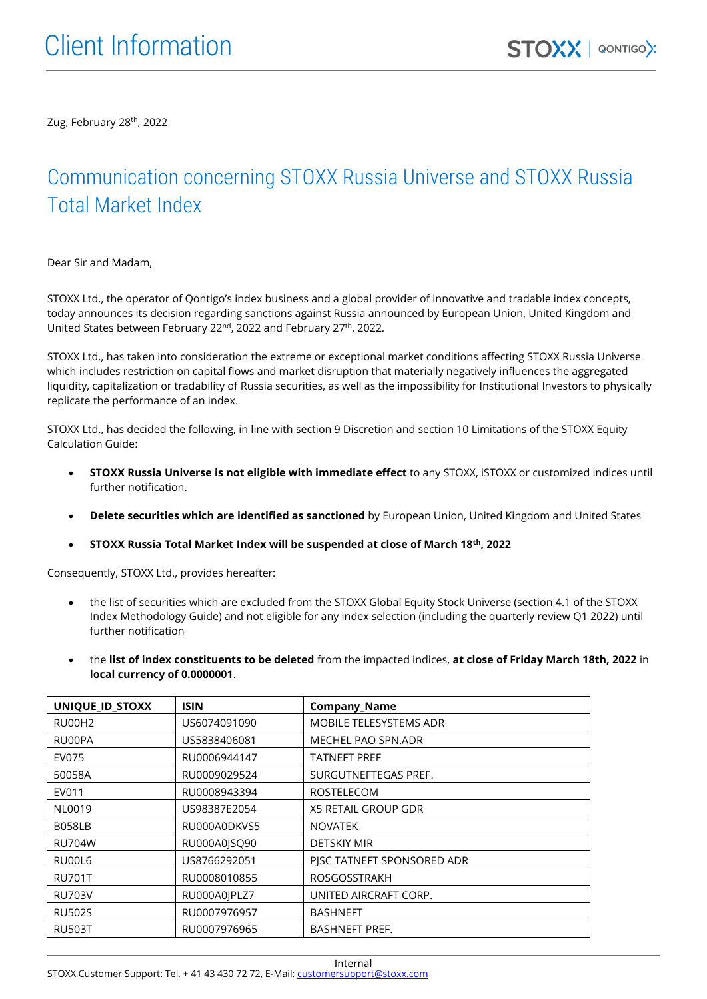Zug, February 28th , 2022

## Communication concerning STOXX Russia Universe and STOXX Russia Total Market Index

Dear Sir and Madam,

STOXX Ltd., the operator of Qontigo's index business and a global provider of innovative and tradable index concepts, today announces its decision regarding sanctions against Russia announced by European Union, United Kingdom and United States between February 22<sup>nd</sup>, 2022 and February 27<sup>th</sup>, 2022.

STOXX Ltd., has taken into consideration the extreme or exceptional market conditions affecting STOXX Russia Universe which includes restriction on capital flows and market disruption that materially negatively influences the aggregated liquidity, capitalization or tradability of Russia securities, as well as the impossibility for Institutional Investors to physically replicate the performance of an index.

STOXX Ltd., has decided the following, in line with section 9 Discretion and section 10 Limitations of the STOXX Equity Calculation Guide:

- **STOXX Russia Universe is not eligible with immediate effect** to any STOXX, iSTOXX or customized indices until further notification.
- **Delete securities which are identified as sanctioned** by European Union, United Kingdom and United States
- **STOXX Russia Total Market Index will be suspended at close of March 18th, 2022**

Consequently, STOXX Ltd., provides hereafter:

- the list of securities which are excluded from the STOXX Global Equity Stock Universe (section 4.1 of the STOXX Index Methodology Guide) and not eligible for any index selection (including the quarterly review Q1 2022) until further notification
- the **list of index constituents to be deleted** from the impacted indices, **at close of Friday March 18th, 2022** in **local currency of 0.0000001**.

| UNIQUE_ID_STOXX | <b>ISIN</b>  | <b>Company_Name</b>           |
|-----------------|--------------|-------------------------------|
| RU00H2          | US6074091090 | <b>MOBILE TELESYSTEMS ADR</b> |
| RU00PA          | US5838406081 | MECHEL PAO SPN.ADR            |
| EV075           | RU0006944147 | TATNEFT PREF                  |
| 50058A          | RU0009029524 | SURGUTNEFTEGAS PREF.          |
| EV011           | RU0008943394 | <b>ROSTELECOM</b>             |
| NL0019          | US98387E2054 | X5 RETAIL GROUP GDR           |
| <b>B058LB</b>   | RU000A0DKVS5 | <b>NOVATEK</b>                |
| <b>RU704W</b>   | RU000A0ISO90 | <b>DETSKIY MIR</b>            |
| RU00L6          | US8766292051 | PISC TATNEFT SPONSORED ADR    |
| <b>RU701T</b>   | RU0008010855 | <b>ROSGOSSTRAKH</b>           |
| <b>RU703V</b>   | RU000A0JPLZ7 | UNITED AIRCRAFT CORP.         |
| <b>RU502S</b>   | RU0007976957 | <b>BASHNEFT</b>               |
| <b>RU503T</b>   | RU0007976965 | <b>BASHNEFT PREF.</b>         |